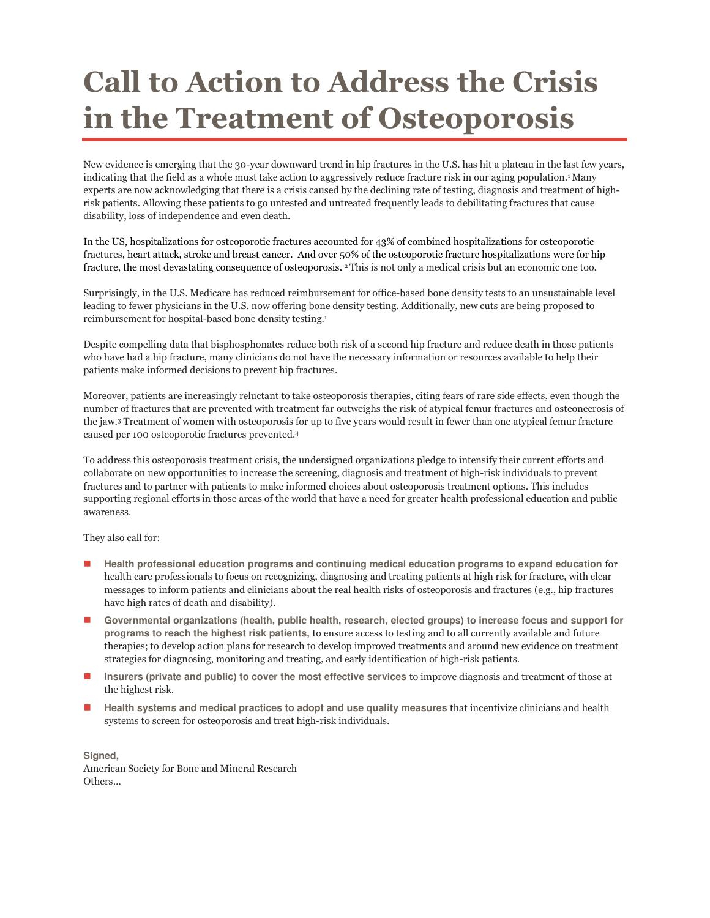## Call to Action to Address the Crisis in the Treatment of Osteoporosis

New evidence is emerging that the 30-year downward trend in hip fractures in the U.S. has hit a plateau in the last few years, indicating that the field as a whole must take action to aggressively reduce fracture risk in our aging population.<sup>1</sup> Many experts are now acknowledging that there is a crisis caused by the declining rate of testing, diagnosis and treatment of highrisk patients. Allowing these patients to go untested and untreated frequently leads to debilitating fractures that cause disability, loss of independence and even death.

In the US, hospitalizations for osteoporotic fractures accounted for 43% of combined hospitalizations for osteoporotic fractures, heart attack, stroke and breast cancer. And over 50% of the osteoporotic fracture hospitalizations were for hip fracture, the most devastating consequence of osteoporosis. 2 This is not only a medical crisis but an economic one too.

Surprisingly, in the U.S. Medicare has reduced reimbursement for office-based bone density tests to an unsustainable level leading to fewer physicians in the U.S. now offering bone density testing. Additionally, new cuts are being proposed to reimbursement for hospital-based bone density testing.<sup>1</sup>

Despite compelling data that bisphosphonates reduce both risk of a second hip fracture and reduce death in those patients who have had a hip fracture, many clinicians do not have the necessary information or resources available to help their patients make informed decisions to prevent hip fractures.

Moreover, patients are increasingly reluctant to take osteoporosis therapies, citing fears of rare side effects, even though the number of fractures that are prevented with treatment far outweighs the risk of atypical femur fractures and osteonecrosis of the jaw.3 Treatment of women with osteoporosis for up to five years would result in fewer than one atypical femur fracture caused per 100 osteoporotic fractures prevented.<sup>4</sup>

To address this osteoporosis treatment crisis, the undersigned organizations pledge to intensify their current efforts and collaborate on new opportunities to increase the screening, diagnosis and treatment of high-risk individuals to prevent fractures and to partner with patients to make informed choices about osteoporosis treatment options. This includes supporting regional efforts in those areas of the world that have a need for greater health professional education and public awareness.

They also call for:

- **Health professional education programs and continuing medical education programs to expand education** for health care professionals to focus on recognizing, diagnosing and treating patients at high risk for fracture, with clear messages to inform patients and clinicians about the real health risks of osteoporosis and fractures (e.g., hip fractures have high rates of death and disability).
- Governmental organizations (health, public health, research, elected groups) to increase focus and support for **programs to reach the highest risk patients,** to ensure access to testing and to all currently available and future therapies; to develop action plans for research to develop improved treatments and around new evidence on treatment strategies for diagnosing, monitoring and treating, and early identification of high-risk patients.
- **Insurers (private and public) to cover the most effective services** to improve diagnosis and treatment of those at the highest risk.
- **Health systems and medical practices to adopt and use quality measures** that incentivize clinicians and health systems to screen for osteoporosis and treat high-risk individuals.

**Signed,**  American Society for Bone and Mineral Research Others…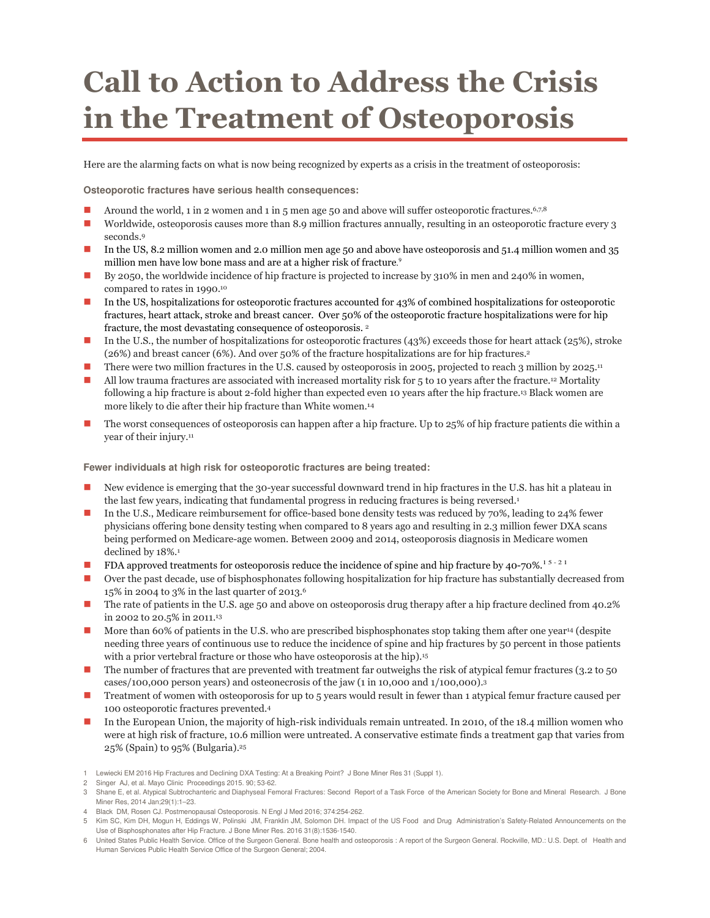## Call to Action to Address the Crisis in the Treatment of Osteoporosis

Here are the alarming facts on what is now being recognized by experts as a crisis in the treatment of osteoporosis:

**Osteoporotic fractures have serious health consequences:** 

- Around the world, 1 in 2 women and 1 in 5 men age 50 and above will suffer osteoporotic fractures.6,7,8
- Worldwide, osteoporosis causes more than 8.9 million fractures annually, resulting in an osteoporotic fracture every 3 seconds.<sup>9</sup>
- In the US, 8.2 million women and 2.0 million men age 50 and above have osteoporosis and 51.4 million women and 35 million men have low bone mass and are at a higher risk of fracture.<sup>9</sup>
- By 2050, the worldwide incidence of hip fracture is projected to increase by 310% in men and 240% in women, compared to rates in 1990.<sup>10</sup>
- In the US, hospitalizations for osteoporotic fractures accounted for 43% of combined hospitalizations for osteoporotic fractures, heart attack, stroke and breast cancer. Over 50% of the osteoporotic fracture hospitalizations were for hip fracture, the most devastating consequence of osteoporosis. <sup>2</sup>
- In the U.S., the number of hospitalizations for osteoporotic fractures (43%) exceeds those for heart attack (25%), stroke (26%) and breast cancer (6%). And over 50% of the fracture hospitalizations are for hip fractures.<sup>2</sup>
- There were two million fractures in the U.S. caused by osteoporosis in 2005, projected to reach 3 million by 2025.<sup>11</sup>
- All low trauma fractures are associated with increased mortality risk for 5 to 10 years after the fracture.12 Mortality following a hip fracture is about 2-fold higher than expected even 10 years after the hip fracture.13 Black women are more likely to die after their hip fracture than White women.<sup>14</sup>
- The worst consequences of osteoporosis can happen after a hip fracture. Up to 25% of hip fracture patients die within a year of their injury.<sup>11</sup>

**Fewer individuals at high risk for osteoporotic fractures are being treated:** 

- New evidence is emerging that the 30-year successful downward trend in hip fractures in the U.S. has hit a plateau in the last few years, indicating that fundamental progress in reducing fractures is being reversed.<sup>1</sup>
- In the U.S., Medicare reimbursement for office-based bone density tests was reduced by 70%, leading to 24% fewer physicians offering bone density testing when compared to 8 years ago and resulting in 2.3 million fewer DXA scans being performed on Medicare-age women. Between 2009 and 2014, osteoporosis diagnosis in Medicare women declined by  $18\%$ .<sup>1</sup>
- **FDA** approved treatments for osteoporosis reduce the incidence of spine and hip fracture by 40-70%.<sup>15-21</sup>
- Over the past decade, use of bisphosphonates following hospitalization for hip fracture has substantially decreased from 15% in 2004 to 3% in the last quarter of 2013.<sup>6</sup>
- The rate of patients in the U.S. age 50 and above on osteoporosis drug therapy after a hip fracture declined from 40.2% in 2002 to 20.5% in 2011.<sup>13</sup>
- More than 60% of patients in the U.S. who are prescribed bisphosphonates stop taking them after one year<sup>14</sup> (despite needing three years of continuous use to reduce the incidence of spine and hip fractures by 50 percent in those patients with a prior vertebral fracture or those who have osteoporosis at the hip).<sup>15</sup>
- The number of fractures that are prevented with treatment far outweighs the risk of atypical femur fractures (3.2 to 50 cases/100,000 person years) and osteonecrosis of the jaw (1 in 10,000 and 1/100,000).<sup>3</sup>
- Treatment of women with osteoporosis for up to 5 years would result in fewer than 1 atypical femur fracture caused per 100 osteoporotic fractures prevented.<sup>4</sup>
- In the European Union, the majority of high-risk individuals remain untreated. In 2010, of the 18.4 million women who were at high risk of fracture, 10.6 million were untreated. A conservative estimate finds a treatment gap that varies from 25% (Spain) to 95% (Bulgaria).<sup>25</sup>

<sup>1</sup> Lewiecki EM 2016 Hip Fractures and Declining DXA Testing: At a Breaking Point? J Bone Miner Res 31 (Suppl 1).

<sup>2</sup> Singer AJ, et al. Mayo Clinic Proceedings 2015. 90; 53-62.

<sup>3</sup> Shane E, et al. Atypical Subtrochanteric and Diaphyseal Femoral Fractures: Second Report of a Task Force of the American Society for Bone and Mineral Research. J Bone Miner Res, 2014 Jan;29(1):1–23.

<sup>4</sup> Black DM, Rosen CJ. Postmenopausal Osteoporosis. N Engl J Med 2016; 374:254-262.

<sup>5</sup> Kim SC, Kim DH, Mogun H, Eddings W, Polinski JM, Franklin JM, Solomon DH. Impact of the US Food and Drug Administration's Safety-Related Announcements on the Use of Bisphosphonates after Hip Fracture. J Bone Miner Res. 2016 31(8):1536-1540.

<sup>6</sup> United States Public Health Service. Office of the Surgeon General. Bone health and osteoporosis : A report of the Surgeon General. Rockville, MD.: U.S. Dept. of Health and Human Services Public Health Service Office of the Surgeon General; 2004.